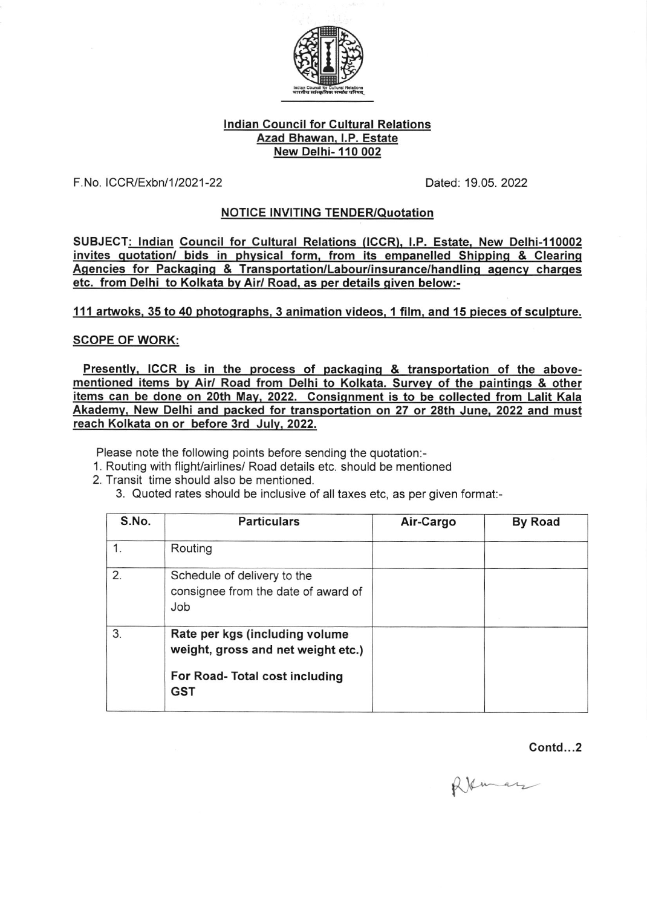

## lndian Council for Cultural Relations Azad Bhawan. l.P. Estate New Delhi- 110 002

F. No. I CCR/Exbnl 1 12021 -22 Daled: 19.05.2022

## NOTICE INVITING TENDER/Quotation

SUBJECT: Indian Council for Cultural Relations (ICCR), I.P. Estate, New Delhi-110002 invites quotation/ bids in physical form, from its empanelled Shipping & Clearing Agencies for Packaging & Transportation/Labour/insurance/handling agency charges etc. from Delhi to Kolkata bv Air/ Road, as per details qiven below:-

111 artwoks, 35 to 40 photographs, 3 animation videos, 1 film, and 15 pieces of sculpture.

## SCOPE OF WORK:

Presently, ICCR is in the process of packaging  $\&$  transportation of the abovementioned items by Air/ Road from Delhi to Kolkata. Survey of the paintings & other items can be done on 20th Mav. 2022. Consiqnment is to be collected from Lalit Kala Akademv. New Delhi and packed for transportation on 27 or 28th June. 2022 and must reach Kolkata on or before 3rd July, 2022.

Please note the following points before sending the quotation:-

- 1. Routing with flight/airlines/ Road details etc. should be mentioned
- 2. Transit time should also be mentioned.
	- 3. Quoted rates should be inclusive of all taxes etc, as per given format:-

| S.No. | <b>Particulars</b>                                                                                                   | Air-Cargo | <b>By Road</b> |
|-------|----------------------------------------------------------------------------------------------------------------------|-----------|----------------|
|       | Routing                                                                                                              |           |                |
| 2.    | Schedule of delivery to the<br>consignee from the date of award of<br>Job                                            |           |                |
| 3.    | Rate per kgs (including volume<br>weight, gross and net weight etc.)<br>For Road- Total cost including<br><b>GST</b> |           |                |

Contd...2

 $Q$  $\&$  mary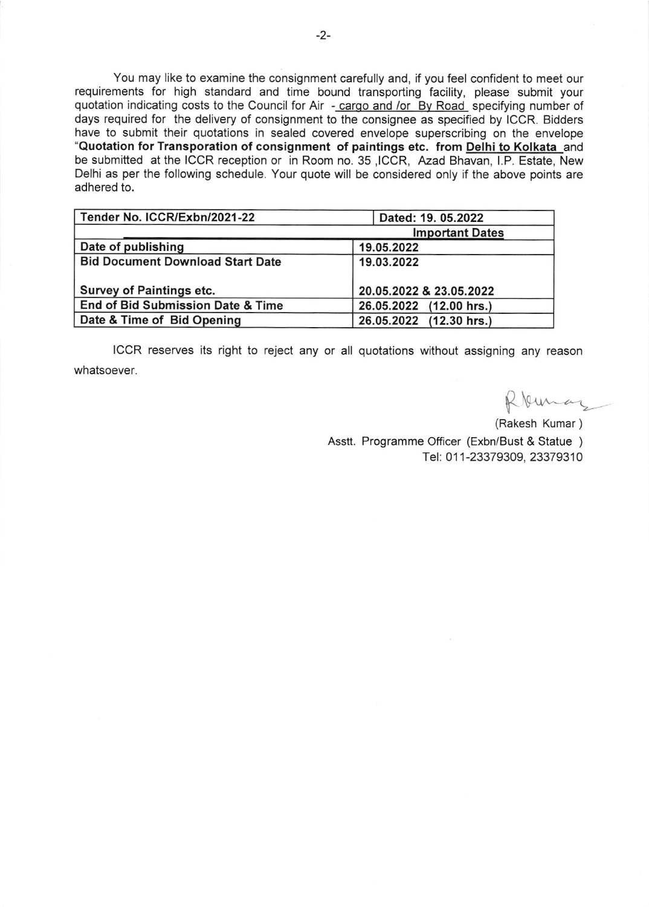You may like to examine the consignment carefully and, if you feel confident to meet our requirements for high standard and time bound transporting facility, please submit your quotation indicating costs to the Council for Air - cargo and /or By Road specifying number of days required for the delivery of consignment to the consignee as specified by ICCR. Bidders have to submit their quotations in sealed covered envelope superscribing on the envelope "Quotation for Transporation of consignment of paintings etc. from Delhi to Kolkata\_and be submitted at the ICCR reception or in Room no. 35 ,ICCR, Azad Bhavan, l.P. Estate, New Delhi as per the following schedule. Your quote will be considered only if the above points are adhered to.

| Tender No. ICCR/Exbn/2021-22            | Dated: 19. 05.2022      |
|-----------------------------------------|-------------------------|
|                                         | <b>Important Dates</b>  |
| Date of publishing                      | 19.05.2022              |
| <b>Bid Document Download Start Date</b> | 19.03.2022              |
| Survey of Paintings etc.                | 20.05.2022 & 23.05.2022 |
| End of Bid Submission Date & Time       | 26.05.2022 (12.00 hrs.) |
| Date & Time of Bid Opening              | 26.05.2022 (12.30 hrs.) |

ICCR reserves its right to reject any or all quotations without assigning any reason whatsoever.

Roman

(Rakesh Kumar ) Asstt. Programme Officer (Exbn/Bust & Statue ) Tel: 01 1-23379309, 23379310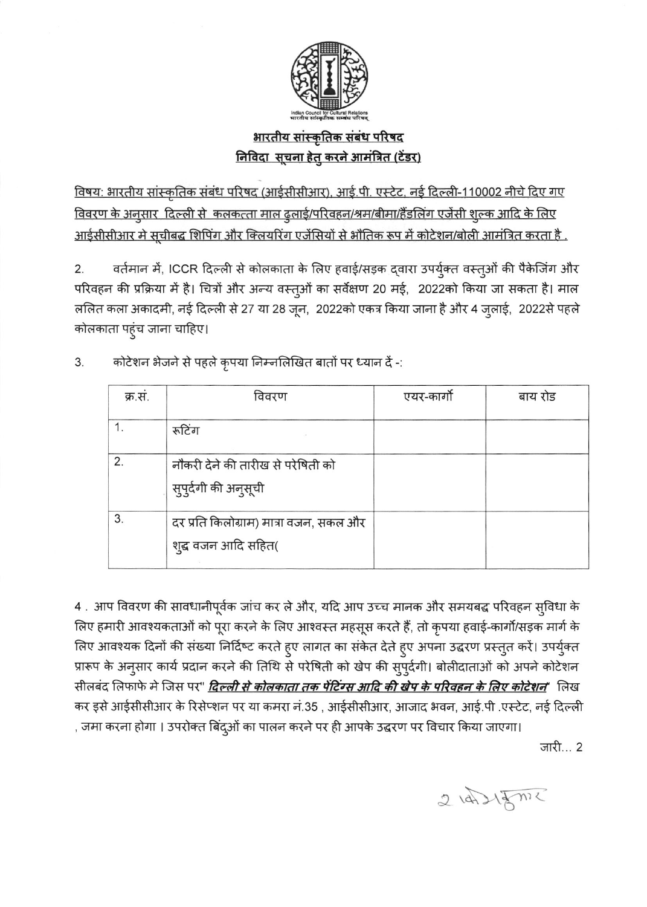

## <u> आरतीय सांस्कृतिक संबंध परिषद</u> <u>निविदा सूचना हेतु करने आमंत्रित (टेंडर)</u>

<u>विषय: भारतीय सांस्कृतिक संबंध परिषद (आईसीसीआर), आई.पी. एस्टेट, नई दिल्ली-110002 नीचे दिए गए</u> <u>विवरण के अनुसार दिल्ली से कलकत्ता माल ढुलाई/परिवहन/श्रम/बीमा/हैंडलिंग एजेंसी शुल्क आदि के लिए</u> <u>आईसीसीआर मे सूचीबद्ध शिपिंग और क्लियरिंग एजेंसियों से भौतिक रूप में कोटेशन/बोली आमंत्रित करता है .</u>

वर्तमान में, ICCR दिल्ली से कोलकाता के लिए हवाई/सड़क द्वारा उपर्युक्त वस्तुओं की पैकेजिंग और  $2.$ परिवहन की प्रक्रिया में है। चित्रों और अन्य वस्तुओं का सर्वेक्षण 20 मई, 2022को किया जा सकता है। माल ललित कला अकादमी, नई दिल्ली से 27 या 28 जून, 2022को एकत्र किया जाना है और 4 जुलाई, 2022से पहले कोलकाता पहुंच जाना चाहिए।

| क्र.सं. | विवरण                                                         | एयर-कार्गो | बाय रोड |
|---------|---------------------------------------------------------------|------------|---------|
|         | रूटिंग                                                        |            |         |
| 2.      | नौकरी देने की तारीख से परेषिती को<br>सुपुर्दगी की अनुसूची     |            |         |
| 3.      | दर प्रति किलोग्राम) मात्रा वजन, सकल और<br>शुद्ध वजन आदि सहित( |            |         |

कोटेशन भेजने से पहले कृपया निम्नलिखित बातों पर ध्यान दें -: 3.

4. आप विवरण की सावधानीपूर्वक जांच कर ले और, यदि आप उच्च मानक और समयबद्ध परिवहन स्विधा के लिए हमारी आवश्यकताओं को पूरा करने के लिए आश्वस्त महसूस करते हैं, तो कृपया हवाई-कार्गो/सड़क मार्ग के लिए आवश्यक दिनों की संख्या निर्दिष्ट करते हुए लागत का संकेत देते हुए अपना उद्धरण प्रस्तुत करें। उपर्युक्त प्रारूप के अनुसार कार्य प्रदान करने की तिथि से परेषिती को खेप की सुपुर्दगी। बोलीदाताओं को अपने कोटेशन सीलबंद लिफाफे मे जिस पर" <mark>दिल्ली से कोलकाता तक पेंटिंग्स आदि की खेप के परिवहन के लिए कोटेशन</mark>" लिख कर इसे आईसीसीआर के रिसेप्शन पर या कमरा नं.35 , आईसीसीआर, आजाद भवन, आई.पी .एस्टेट, नई दिल्ली , जमा करना होगा । उपरोक्त बिंदुओं का पालन करने पर ही आपके उद्धरण पर विचार किया जाएगा।

जारी... 2

 $2 \text{ bA} \sqrt{3} m$